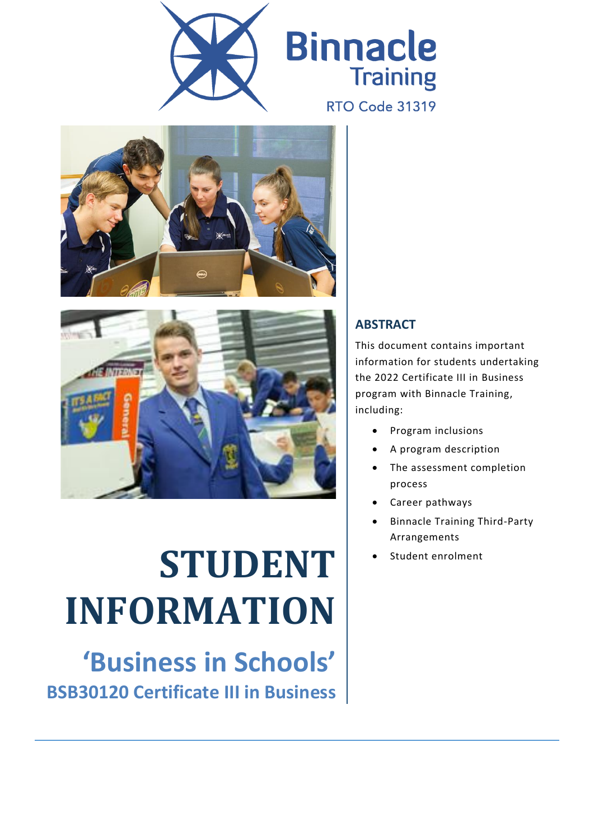





# **STUDENT INFORMATION**

**'Business in Schools' BSB30120 Certificate III in Business**

#### **ABSTRACT**

This document contains important information for students undertaking the 2022 Certificate III in Business program with Binnacle Training, including:

- Program inclusions
- A program description
- The assessment completion process
- Career pathways
- Binnacle Training Third-Party Arrangements
- Student enrolment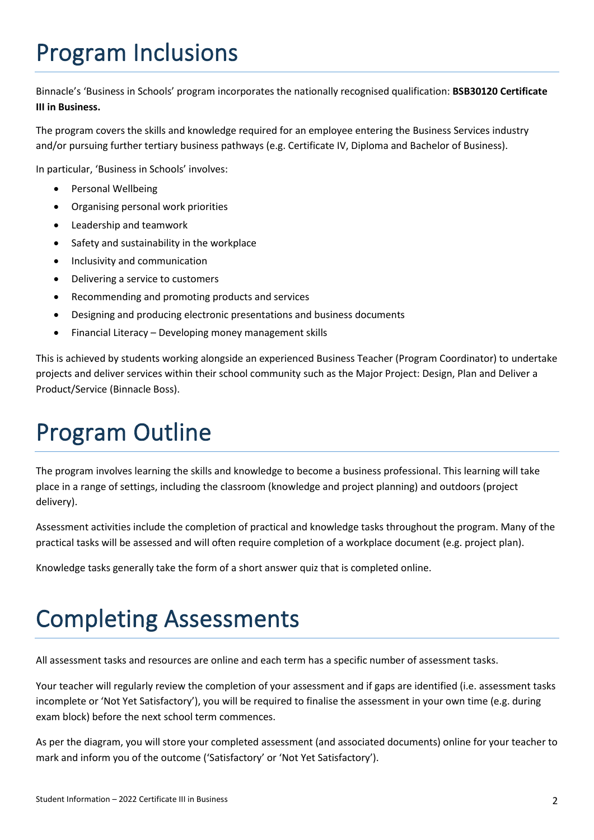# Program Inclusions

Binnacle's 'Business in Schools' program incorporates the nationally recognised qualification: **BSB30120 Certificate III in Business.**

The program covers the skills and knowledge required for an employee entering the Business Services industry and/or pursuing further tertiary business pathways (e.g. Certificate IV, Diploma and Bachelor of Business).

In particular, 'Business in Schools' involves:

- Personal Wellbeing
- Organising personal work priorities
- Leadership and teamwork
- Safety and sustainability in the workplace
- Inclusivity and communication
- Delivering a service to customers
- Recommending and promoting products and services
- Designing and producing electronic presentations and business documents
- Financial Literacy Developing money management skills

This is achieved by students working alongside an experienced Business Teacher (Program Coordinator) to undertake projects and deliver services within their school community such as the Major Project: Design, Plan and Deliver a Product/Service (Binnacle Boss).

#### Program Outline

The program involves learning the skills and knowledge to become a business professional. This learning will take place in a range of settings, including the classroom (knowledge and project planning) and outdoors (project delivery).

Assessment activities include the completion of practical and knowledge tasks throughout the program. Many of the practical tasks will be assessed and will often require completion of a workplace document (e.g. project plan).

Knowledge tasks generally take the form of a short answer quiz that is completed online.

#### Completing Assessments

All assessment tasks and resources are online and each term has a specific number of assessment tasks.

Your teacher will regularly review the completion of your assessment and if gaps are identified (i.e. assessment tasks incomplete or 'Not Yet Satisfactory'), you will be required to finalise the assessment in your own time (e.g. during exam block) before the next school term commences.

As per the diagram, you will store your completed assessment (and associated documents) online for your teacher to mark and inform you of the outcome ('Satisfactory' or 'Not Yet Satisfactory').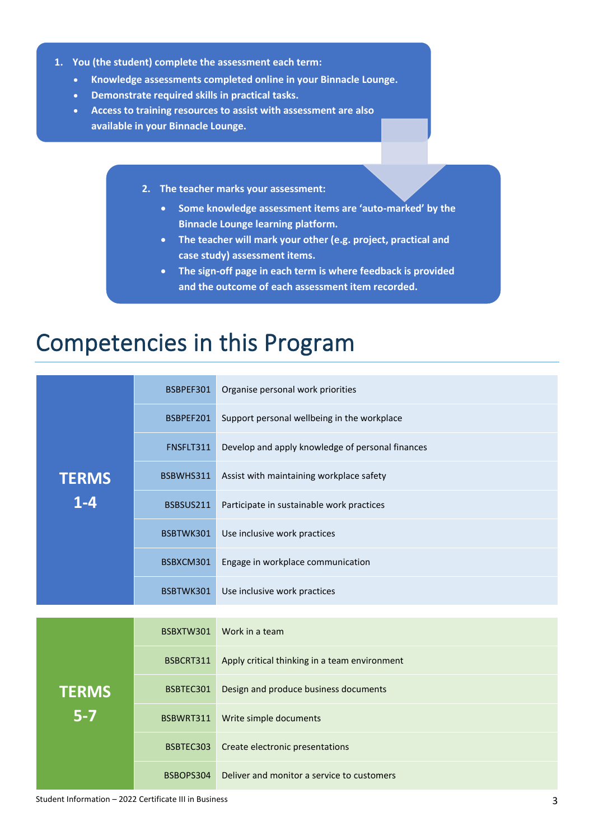- **1. You (the student) complete the assessment each term:**
	- **Knowledge assessments completed online in your Binnacle Lounge.**
	- **Demonstrate required skills in practical tasks.**
	- **Access to training resources to assist with assessment are also available in your Binnacle Lounge.**
		- **2. The teacher marks your assessment:**
			- **Some knowledge assessment items are 'auto-marked' by the Binnacle Lounge learning platform.**
			- **The teacher will mark your other (e.g. project, practical and case study) assessment items.**
			- **The sign-off page in each term is where feedback is provided and the outcome of each assessment item recorded.**

#### Competencies in this Program

| <b>TERMS</b><br>$1 - 4$ | BSBPEF301 | Organise personal work priorities                |  |
|-------------------------|-----------|--------------------------------------------------|--|
|                         | BSBPEF201 | Support personal wellbeing in the workplace      |  |
|                         | FNSFLT311 | Develop and apply knowledge of personal finances |  |
|                         | BSBWHS311 | Assist with maintaining workplace safety         |  |
|                         | BSBSUS211 | Participate in sustainable work practices        |  |
|                         | BSBTWK301 | Use inclusive work practices                     |  |
|                         | BSBXCM301 | Engage in workplace communication                |  |
|                         | BSBTWK301 | Use inclusive work practices                     |  |
|                         |           |                                                  |  |
| <b>TERMS</b><br>$5-7$   | BSBXTW301 | Work in a team                                   |  |
|                         | BSBCRT311 | Apply critical thinking in a team environment    |  |
|                         | BSBTEC301 | Design and produce business documents            |  |
|                         | BSBWRT311 | Write simple documents                           |  |
|                         | BSBTEC303 | Create electronic presentations                  |  |
|                         | BSBOPS304 | Deliver and monitor a service to customers       |  |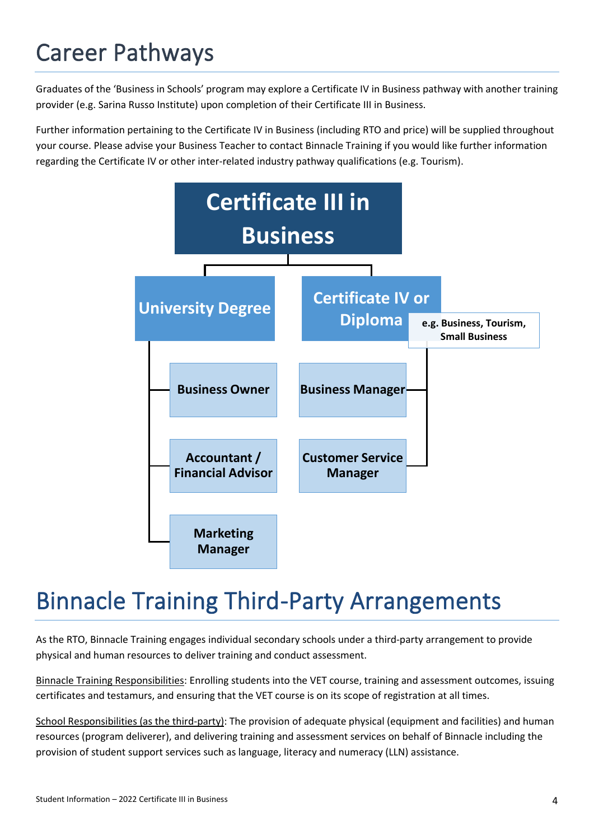## Career Pathways

Graduates of the 'Business in Schools' program may explore a Certificate IV in Business pathway with another training provider (e.g. Sarina Russo Institute) upon completion of their Certificate III in Business.

Further information pertaining to the Certificate IV in Business (including RTO and price) will be supplied throughout your course. Please advise your Business Teacher to contact Binnacle Training if you would like further information regarding the Certificate IV or other inter-related industry pathway qualifications (e.g. Tourism).



#### Binnacle Training Third-Party Arrangements

As the RTO, Binnacle Training engages individual secondary schools under a third-party arrangement to provide physical and human resources to deliver training and conduct assessment.

Binnacle Training Responsibilities: Enrolling students into the VET course, training and assessment outcomes, issuing certificates and testamurs, and ensuring that the VET course is on its scope of registration at all times.

School Responsibilities (as the third-party): The provision of adequate physical (equipment and facilities) and human resources (program deliverer), and delivering training and assessment services on behalf of Binnacle including the provision of student support services such as language, literacy and numeracy (LLN) assistance.